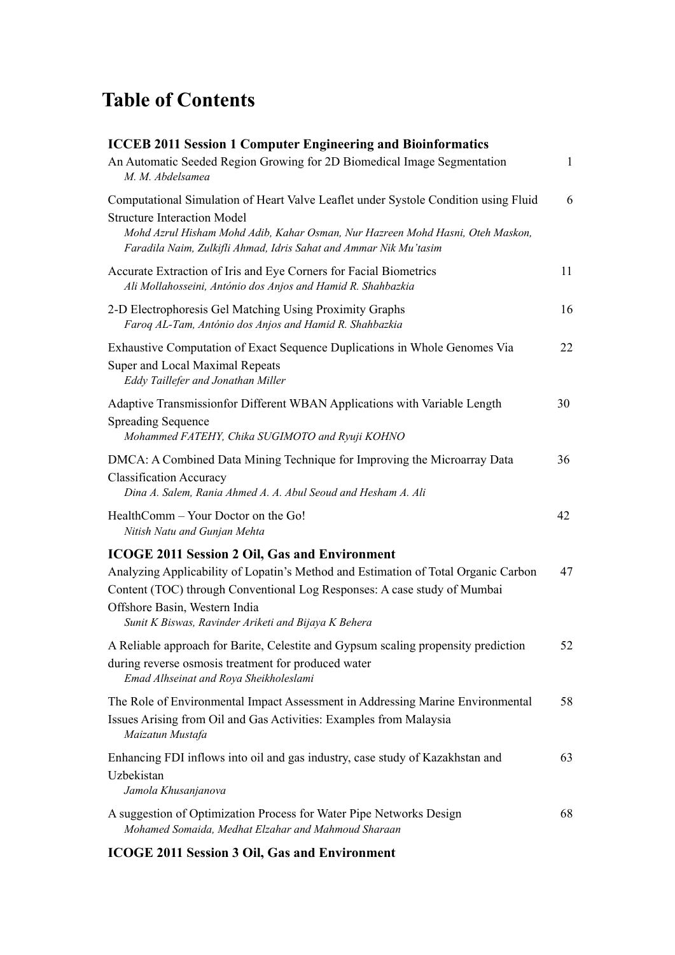## **Table of Contents**

| <b>ICCEB 2011 Session 1 Computer Engineering and Bioinformatics</b>                                                                                                                                                                                                                                             |    |
|-----------------------------------------------------------------------------------------------------------------------------------------------------------------------------------------------------------------------------------------------------------------------------------------------------------------|----|
| An Automatic Seeded Region Growing for 2D Biomedical Image Segmentation<br>M. M. Abdelsamea                                                                                                                                                                                                                     | 1  |
| Computational Simulation of Heart Valve Leaflet under Systole Condition using Fluid<br><b>Structure Interaction Model</b><br>Mohd Azrul Hisham Mohd Adib, Kahar Osman, Nur Hazreen Mohd Hasni, Oteh Maskon,<br>Faradila Naim, Zulkifli Ahmad, Idris Sahat and Ammar Nik Mu'tasim                                | 6  |
| Accurate Extraction of Iris and Eye Corners for Facial Biometrics<br>Ali Mollahosseini, António dos Anjos and Hamid R. Shahbazkia                                                                                                                                                                               | 11 |
| 2-D Electrophoresis Gel Matching Using Proximity Graphs<br>Faroq AL-Tam, António dos Anjos and Hamid R. Shahbazkia                                                                                                                                                                                              | 16 |
| Exhaustive Computation of Exact Sequence Duplications in Whole Genomes Via<br>Super and Local Maximal Repeats<br>Eddy Taillefer and Jonathan Miller                                                                                                                                                             | 22 |
| Adaptive Transmissionfor Different WBAN Applications with Variable Length<br><b>Spreading Sequence</b><br>Mohammed FATEHY, Chika SUGIMOTO and Ryuji KOHNO                                                                                                                                                       | 30 |
| DMCA: A Combined Data Mining Technique for Improving the Microarray Data<br><b>Classification Accuracy</b><br>Dina A. Salem, Rania Ahmed A. A. Abul Seoud and Hesham A. Ali                                                                                                                                     | 36 |
| HealthComm - Your Doctor on the Go!<br>Nitish Natu and Gunjan Mehta                                                                                                                                                                                                                                             | 42 |
| <b>ICOGE 2011 Session 2 Oil, Gas and Environment</b><br>Analyzing Applicability of Lopatin's Method and Estimation of Total Organic Carbon<br>Content (TOC) through Conventional Log Responses: A case study of Mumbai<br>Offshore Basin, Western India<br>Sunit K Biswas, Ravinder Ariketi and Bijaya K Behera | 47 |
| A Reliable approach for Barite, Celestite and Gypsum scaling propensity prediction<br>during reverse osmosis treatment for produced water<br>Emad Alhseinat and Roya Sheikholeslami                                                                                                                             | 52 |
| The Role of Environmental Impact Assessment in Addressing Marine Environmental<br>Issues Arising from Oil and Gas Activities: Examples from Malaysia<br>Maizatun Mustafa                                                                                                                                        | 58 |
| Enhancing FDI inflows into oil and gas industry, case study of Kazakhstan and<br>Uzbekistan<br>Jamola Khusanjanova                                                                                                                                                                                              | 63 |
| A suggestion of Optimization Process for Water Pipe Networks Design<br>Mohamed Somaida, Medhat Elzahar and Mahmoud Sharaan                                                                                                                                                                                      | 68 |

**ICOGE 2011 Session 3 Oil, Gas and Environment**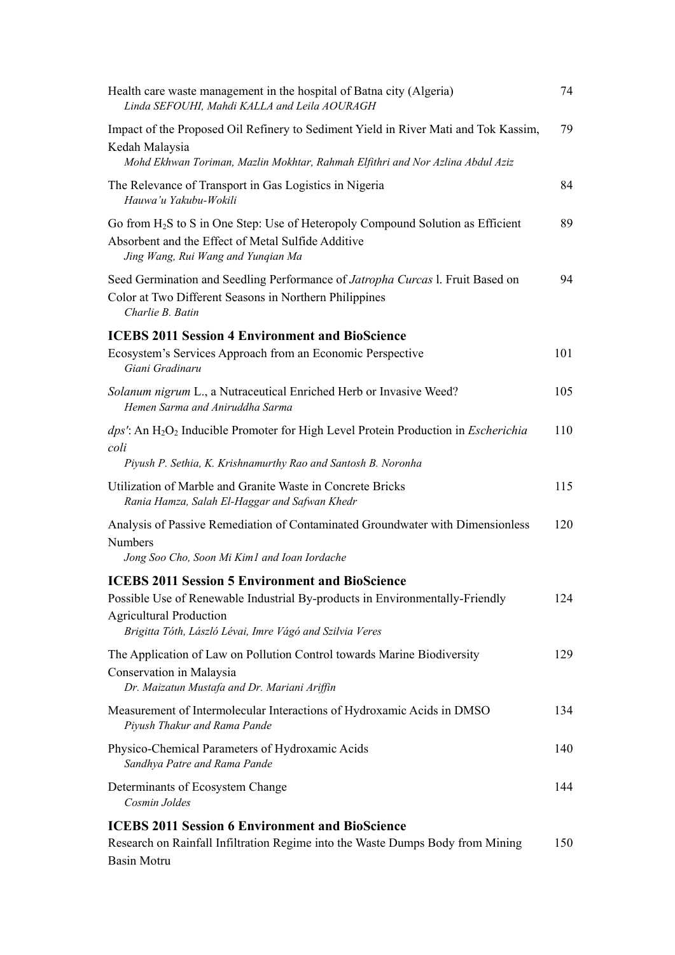| Health care waste management in the hospital of Batna city (Algeria)<br>Linda SEFOUHI, Mahdi KALLA and Leila AOURAGH                                                                                                                 | 74  |
|--------------------------------------------------------------------------------------------------------------------------------------------------------------------------------------------------------------------------------------|-----|
| Impact of the Proposed Oil Refinery to Sediment Yield in River Mati and Tok Kassim,<br>Kedah Malaysia                                                                                                                                | 79  |
| Mohd Ekhwan Toriman, Mazlin Mokhtar, Rahmah Elfithri and Nor Azlina Abdul Aziz                                                                                                                                                       |     |
| The Relevance of Transport in Gas Logistics in Nigeria<br>Hauwa'u Yakubu-Wokili                                                                                                                                                      | 84  |
| Go from $H_2S$ to S in One Step: Use of Heteropoly Compound Solution as Efficient<br>Absorbent and the Effect of Metal Sulfide Additive<br>Jing Wang, Rui Wang and Yunqian Ma                                                        | 89  |
| Seed Germination and Seedling Performance of Jatropha Curcas 1. Fruit Based on<br>Color at Two Different Seasons in Northern Philippines<br>Charlie B. Batin                                                                         | 94  |
| <b>ICEBS 2011 Session 4 Environment and BioScience</b>                                                                                                                                                                               |     |
| Ecosystem's Services Approach from an Economic Perspective<br>Giani Gradinaru                                                                                                                                                        | 101 |
| Solanum nigrum L., a Nutraceutical Enriched Herb or Invasive Weed?<br>Hemen Sarma and Aniruddha Sarma                                                                                                                                | 105 |
| $dps'$ : An H <sub>2</sub> O <sub>2</sub> Inducible Promoter for High Level Protein Production in <i>Escherichia</i><br>coli<br>Piyush P. Sethia, K. Krishnamurthy Rao and Santosh B. Noronha                                        | 110 |
| Utilization of Marble and Granite Waste in Concrete Bricks<br>Rania Hamza, Salah El-Haggar and Safwan Khedr                                                                                                                          | 115 |
| Analysis of Passive Remediation of Contaminated Groundwater with Dimensionless<br><b>Numbers</b>                                                                                                                                     | 120 |
| Jong Soo Cho, Soon Mi Kim1 and Ioan Iordache                                                                                                                                                                                         |     |
| <b>ICEBS 2011 Session 5 Environment and BioScience</b><br>Possible Use of Renewable Industrial By-products in Environmentally-Friendly<br><b>Agricultural Production</b><br>Brigitta Tóth, László Lévai, Imre Vágó and Szilvia Veres | 124 |
| The Application of Law on Pollution Control towards Marine Biodiversity<br>Conservation in Malaysia<br>Dr. Maizatun Mustafa and Dr. Mariani Ariffin                                                                                  | 129 |
| Measurement of Intermolecular Interactions of Hydroxamic Acids in DMSO<br>Piyush Thakur and Rama Pande                                                                                                                               | 134 |
| Physico-Chemical Parameters of Hydroxamic Acids<br>Sandhya Patre and Rama Pande                                                                                                                                                      | 140 |
| Determinants of Ecosystem Change<br>Cosmin Joldes                                                                                                                                                                                    | 144 |
| <b>ICEBS 2011 Session 6 Environment and BioScience</b><br>Research on Rainfall Infiltration Regime into the Waste Dumps Body from Mining<br><b>Basin Motru</b>                                                                       | 150 |